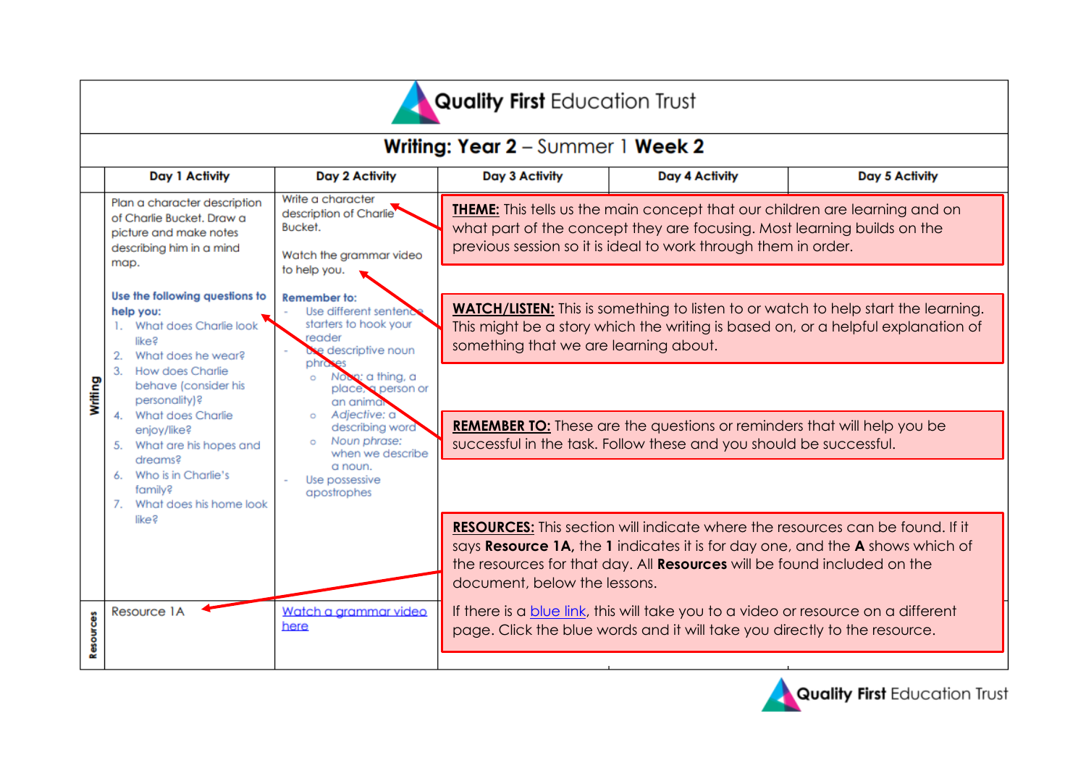| <b>Quality First Education Trust</b>            |                                                                                                                                                                       |                                                                                                                                                                                                                                                                                                        |                                                                                                                                                                                                                                 |                                                                                                                                                                |                                                                                                                                                                       |  |  |  |  |  |  |  |
|-------------------------------------------------|-----------------------------------------------------------------------------------------------------------------------------------------------------------------------|--------------------------------------------------------------------------------------------------------------------------------------------------------------------------------------------------------------------------------------------------------------------------------------------------------|---------------------------------------------------------------------------------------------------------------------------------------------------------------------------------------------------------------------------------|----------------------------------------------------------------------------------------------------------------------------------------------------------------|-----------------------------------------------------------------------------------------------------------------------------------------------------------------------|--|--|--|--|--|--|--|
| <b>Writing: Year 2</b> - Summer 1 <b>Week 2</b> |                                                                                                                                                                       |                                                                                                                                                                                                                                                                                                        |                                                                                                                                                                                                                                 |                                                                                                                                                                |                                                                                                                                                                       |  |  |  |  |  |  |  |
|                                                 | Day 1 Activity                                                                                                                                                        | Day 2 Activity                                                                                                                                                                                                                                                                                         | Day 3 Activity                                                                                                                                                                                                                  | Day 4 Activity                                                                                                                                                 | Day 5 Activity                                                                                                                                                        |  |  |  |  |  |  |  |
| Writing                                         | Plan a character description<br>of Charlie Bucket. Draw a<br>picture and make notes<br>describing him in a mind<br>map.                                               | Write a character<br>description of Charlie<br>Bucket.<br>Watch the grammar video<br>to help you.                                                                                                                                                                                                      | <b>THEME:</b> This tells us the main concept that our children are learning and on<br>what part of the concept they are focusing. Most learning builds on the<br>previous session so it is ideal to work through them in order. |                                                                                                                                                                |                                                                                                                                                                       |  |  |  |  |  |  |  |
|                                                 | Use the following questions to<br>help you:<br>What does Charlie look<br>1.<br>like?<br>What does he wear?<br>2.                                                      | Remember to:<br>Use different sentend<br>starters to hook your<br>reader<br>e descriptive noun<br>phro<br>Noon: a thing, a<br>$\circ$<br>place, a person or<br>an animar<br>Adjective: a<br>$\circ$<br>describing word<br>Noun phrase:<br>when we describe<br>a noun.<br>Use possessive<br>apostrophes | <b>WATCH/LISTEN:</b> This is something to listen to or watch to help start the learning.<br>This might be a story which the writing is based on, or a helpful explanation of<br>something that we are learning about.           |                                                                                                                                                                |                                                                                                                                                                       |  |  |  |  |  |  |  |
|                                                 | 3. How does Charlie<br>behave (consider his<br>personality)?<br>4. What does Charlie<br>enjoy/like?<br>5. What are his hopes and<br>dreams?<br>6. Who is in Charlie's |                                                                                                                                                                                                                                                                                                        | <b>REMEMBER TO:</b> These are the questions or reminders that will help you be<br>successful in the task. Follow these and you should be successful.                                                                            |                                                                                                                                                                |                                                                                                                                                                       |  |  |  |  |  |  |  |
|                                                 | family?<br>7. What does his home look<br>like?                                                                                                                        |                                                                                                                                                                                                                                                                                                        | document, below the lessons.                                                                                                                                                                                                    | the resources for that day. All <b>Resources</b> will be found included on the                                                                                 | <b>RESOURCES:</b> This section will indicate where the resources can be found. If it<br>says Resource 1A, the 1 indicates it is for day one, and the A shows which of |  |  |  |  |  |  |  |
| Resources                                       | Resource 1A                                                                                                                                                           | Watch a arammar video<br>here                                                                                                                                                                                                                                                                          |                                                                                                                                                                                                                                 | If there is a blue link, this will take you to a video or resource on a different<br>page. Click the blue words and it will take you directly to the resource. |                                                                                                                                                                       |  |  |  |  |  |  |  |